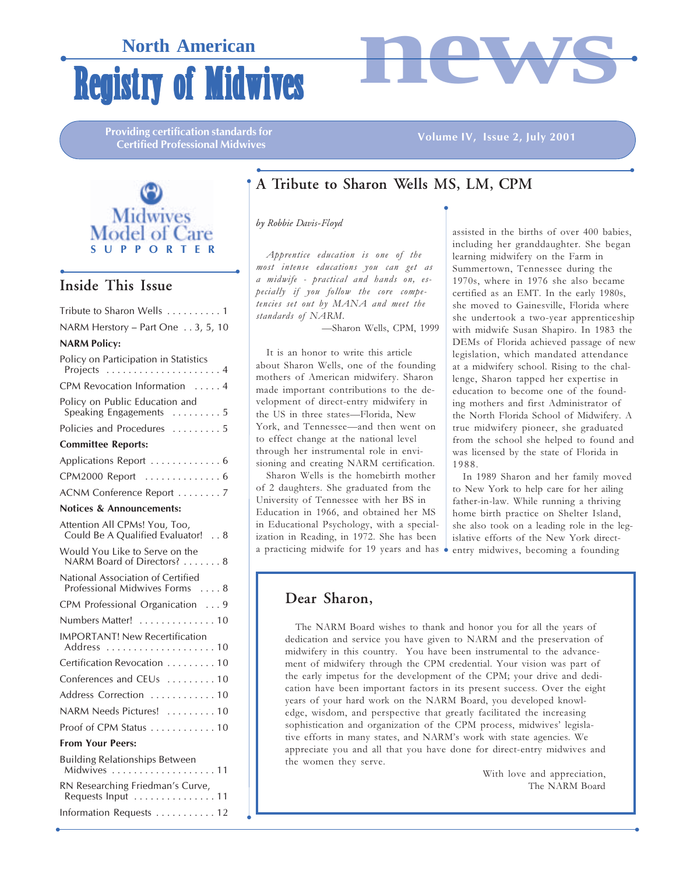## **Registry of Midwives North American**



**Providing certification standards for** Certified Professional Midwives

#### Volume IV, Issue 2, July 2001



## • • Inside This Issue

| Tribute to Sharon Wells  1                                          |
|---------------------------------------------------------------------|
| NARM Herstory - Part One 3, 5, 10                                   |
| <b>NARM Policy:</b>                                                 |
| Policy on Participation in Statistics                               |
| CPM Revocation Information  4                                       |
| Policy on Public Education and<br>Speaking Engagements  5           |
| Policies and Procedures  5                                          |
| <b>Committee Reports:</b>                                           |
| Applications Report  6                                              |
| CPM2000 Report  6                                                   |
| ACNM Conference Report  7                                           |
| <b>Notices &amp; Announcements:</b>                                 |
| Attention All CPMs! You, Too,<br>Could Be A Qualified Evaluator! 8  |
| Would You Like to Serve on the<br>NARM Board of Directors?  8       |
| National Association of Certified<br>Professional Midwives Forms  8 |
| CPM Professional Organication  9                                    |
| Numbers Matter!  10                                                 |
| <b>IMPORTANT! New Recertification</b>                               |
| Certification Revocation 10                                         |
| Conferences and CEUs  10                                            |
| Address Correction  10                                              |
| NARM Needs Pictures!  10                                            |
| Proof of CPM Status 10                                              |
| <b>From Your Peers:</b>                                             |
| <b>Building Relationships Between</b><br>Midwives<br>11             |

| <b>DUTION &amp; RELATIONS DELWEET</b><br>Midwives 11   |  |
|--------------------------------------------------------|--|
| RN Researching Friedman's Curve,<br>Requests Input  11 |  |
| Information Requests  12                               |  |

 $\bullet$ 

## • • A Tribute to Sharon Wells MS, LM, CPM

 $\bullet$ 

by Robbie Davis-Floyd

 $\bullet$ 

Apprentice education is one of the most intense educations you can get as a midwife - practical and hands on, especially if you follow the core competencies set out by MANA and meet the standards of NARM.

—Sharon Wells, CPM, 1999

It is an honor to write this article about Sharon Wells, one of the founding mothers of American midwifery. Sharon made important contributions to the development of direct-entry midwifery in the US in three states—Florida, New York, and Tennessee—and then went on to effect change at the national level through her instrumental role in envisioning and creating NARM certification.

Sharon Wells is the homebirth mother of 2 daughters. She graduated from the University of Tennessee with her BS in Education in 1966, and obtained her MS in Educational Psychology, with a specialization in Reading, in 1972. She has been a practicing midwife for 19 years and has

<u>. In the contract of the contract of the contract of the contract of the contract of the contract of the contract of the contract of the contract of the contract of the contract of the contract of the contract of the cont</u>

assisted in the births of over 400 babies, including her granddaughter. She began learning midwifery on the Farm in Summertown, Tennessee during the 1970s, where in 1976 she also became certified as an EMT. In the early 1980s, she moved to Gainesville, Florida where she undertook a two-year apprenticeship with midwife Susan Shapiro. In 1983 the DEMs of Florida achieved passage of new legislation, which mandated attendance at a midwifery school. Rising to the challenge, Sharon tapped her expertise in education to become one of the founding mothers and first Administrator of the North Florida School of Midwifery. A true midwifery pioneer, she graduated from the school she helped to found and was licensed by the state of Florida in 1988.

In 1989 Sharon and her family moved to New York to help care for her ailing father-in-law. While running a thriving home birth practice on Shelter Island, she also took on a leading role in the legislative efforts of the New York directentry midwives, becoming a founding

## Dear Sharon,

The NARM Board wishes to thank and honor you for all the years of dedication and service you have given to NARM and the preservation of midwifery in this country. You have been instrumental to the advancement of midwifery through the CPM credential. Your vision was part of the early impetus for the development of the CPM; your drive and dedication have been important factors in its present success. Over the eight years of your hard work on the NARM Board, you developed knowledge, wisdom, and perspective that greatly facilitated the increasing sophistication and organization of the CPM process, midwives' legislative efforts in many states, and NARM's work with state agencies. We appreciate you and all that you have done for direct-entry midwives and the women they serve.

 $\cdot$ 

With love and appreciation, The NARM Board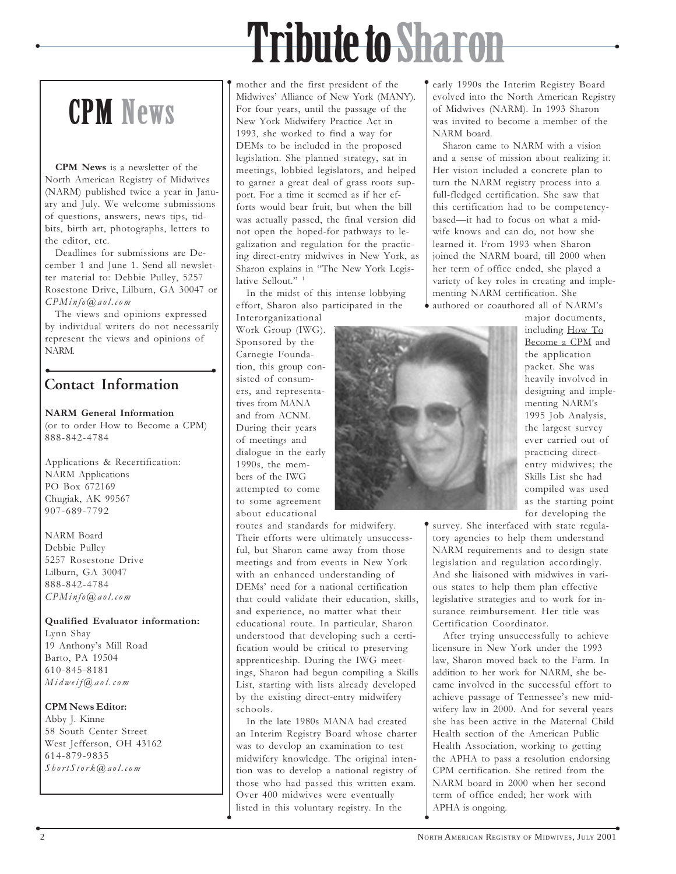## Tribute to Sharon

 $\bullet$ 

# CPM News

 $\bullet$ 

CPM News is a newsletter of the North American Registry of Midwives (NARM) published twice a year in January and July. We welcome submissions of questions, answers, news tips, tidbits, birth art, photographs, letters to the editor, etc.

Deadlines for submissions are December 1 and June 1. Send all newsletter material to: Debbie Pulley, 5257 Rosestone Drive, Lilburn, GA 30047 or CPMinfo@aol.com

The views and opinions expressed by individual writers do not necessarily represent the views and opinions of NARM.

## • • Contact Information

### NARM General Information

(or to order How to Become a CPM) 888-842-4784

Applications & Recertification: NARM Applications PO Box 672169 Chugiak, AK 99567 907-689-7792

NARM Board Debbie Pulley 5257 Rosestone Drive Lilburn, GA 30047 888-842-4784 CPMinfo@aol.com

Qualified Evaluator information: Lynn Shay 19 Anthony's Mill Road Barto, PA 19504 610-845-8181 Midweif@aol.com

### CPM News Editor:

Abby J. Kinne 58 South Center Street West Jefferson, OH 43162 614-879-9835  $ShortStork@, aol.com$ 

mother and the first president of the Midwives' Alliance of New York (MANY). For four years, until the passage of the New York Midwifery Practice Act in 1993, she worked to find a way for DEMs to be included in the proposed legislation. She planned strategy, sat in meetings, lobbied legislators, and helped to garner a great deal of grass roots support. For a time it seemed as if her efforts would bear fruit, but when the bill was actually passed, the final version did not open the hoped-for pathways to legalization and regulation for the practicing direct-entry midwives in New York, as Sharon explains in "The New York Legislative Sellout."<sup>1</sup>

In the midst of this intense lobbying effort, Sharon also participated in the

Interorganizational Work Group (IWG). Sponsored by the Carnegie Foundation, this group consisted of consumers, and representatives from MANA and from ACNM. During their years of meetings and dialogue in the early 1990s, the members of the IWG attempted to come to some agreement about educational

routes and standards for midwifery. Their efforts were ultimately unsuccessful, but Sharon came away from those meetings and from events in New York with an enhanced understanding of DEMs' need for a national certification that could validate their education, skills, and experience, no matter what their educational route. In particular, Sharon understood that developing such a certification would be critical to preserving apprenticeship. During the IWG meetings, Sharon had begun compiling a Skills List, starting with lists already developed by the existing direct-entry midwifery schools.

In the late 1980s MANA had created an Interim Registry Board whose charter was to develop an examination to test midwifery knowledge. The original intention was to develop a national registry of those who had passed this written exam. Over 400 midwives were eventually listed in this voluntary registry. In the

 $\bullet$ 

early 1990s the Interim Registry Board evolved into the North American Registry of Midwives (NARM). In 1993 Sharon was invited to become a member of the NARM board.

Sharon came to NARM with a vision and a sense of mission about realizing it. Her vision included a concrete plan to turn the NARM registry process into a full-fledged certification. She saw that this certification had to be competencybased—it had to focus on what a midwife knows and can do, not how she learned it. From 1993 when Sharon joined the NARM board, till 2000 when her term of office ended, she played a variety of key roles in creating and implementing NARM certification. She authored or coauthored all of NARM's

 $\bullet$ 

 $\bullet$ 

 $\cdot$ 

major documents, including How To Become a CPM and the application packet. She was heavily involved in designing and implementing NARM's 1995 Job Analysis, the largest survey ever carried out of practicing directentry midwives; the Skills List she had compiled was used as the starting point for developing the

survey. She interfaced with state regulatory agencies to help them understand NARM requirements and to design state legislation and regulation accordingly. And she liaisoned with midwives in various states to help them plan effective legislative strategies and to work for insurance reimbursement. Her title was Certification Coordinator.

After trying unsuccessfully to achieve licensure in New York under the 1993 law, Sharon moved back to the Farm. In addition to her work for NARM, she became involved in the successful effort to achieve passage of Tennessee's new midwifery law in 2000. And for several years she has been active in the Maternal Child Health section of the American Public Health Association, working to getting the APHA to pass a resolution endorsing CPM certification. She retired from the NARM board in 2000 when her second term of office ended; her work with APHA is ongoing.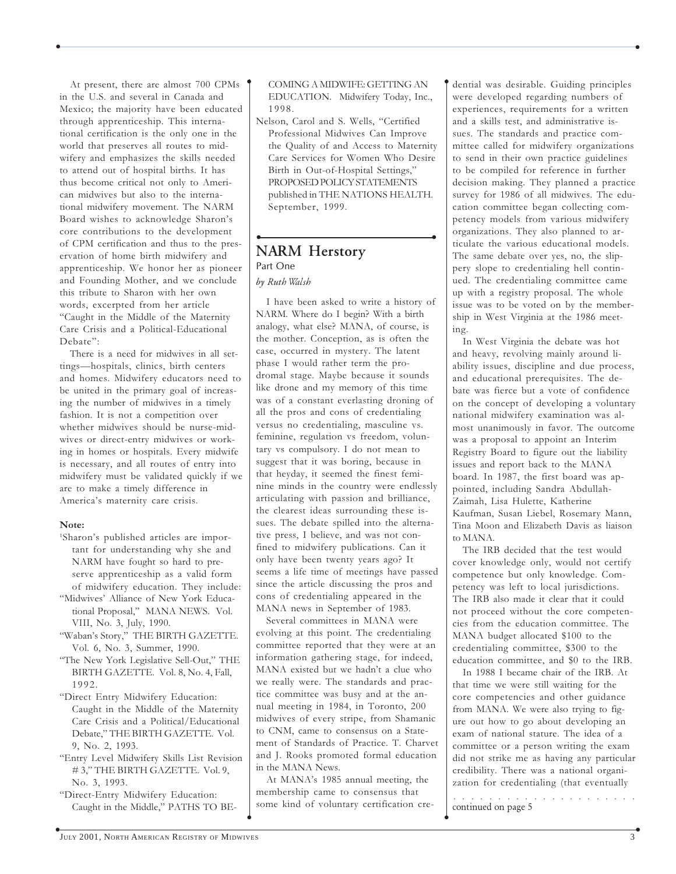At present, there are almost 700 CPMs in the U.S. and several in Canada and Mexico; the majority have been educated through apprenticeship. This international certification is the only one in the world that preserves all routes to midwifery and emphasizes the skills needed to attend out of hospital births. It has thus become critical not only to American midwives but also to the international midwifery movement. The NARM Board wishes to acknowledge Sharon's core contributions to the development of CPM certification and thus to the preservation of home birth midwifery and apprenticeship. We honor her as pioneer and Founding Mother, and we conclude this tribute to Sharon with her own words, excerpted from her article "Caught in the Middle of the Maternity Care Crisis and a Political-Educational Debate":

There is a need for midwives in all settings—hospitals, clinics, birth centers and homes. Midwifery educators need to be united in the primary goal of increasing the number of midwives in a timely fashion. It is not a competition over whether midwives should be nurse-midwives or direct-entry midwives or working in homes or hospitals. Every midwife is necessary, and all routes of entry into midwifery must be validated quickly if we are to make a timely difference in America's maternity care crisis.

#### Note:

- 1 Sharon's published articles are important for understanding why she and NARM have fought so hard to preserve apprenticeship as a valid form of midwifery education. They include:
- "Midwives' Alliance of New York Educational Proposal," MANA NEWS. Vol. VIII, No. 3, July, 1990.
- "Waban's Story," THE BIRTH GAZETTE. Vol. 6, No. 3, Summer, 1990.
- "The New York Legislative Sell-Out," THE BIRTH GAZETTE. Vol. 8, No. 4, Fall, 1992.
- "Direct Entry Midwifery Education: Caught in the Middle of the Maternity Care Crisis and a Political/Educational Debate," THE BIRTH GAZETTE. Vol. 9, No. 2, 1993.
- "Entry Level Midwifery Skills List Revision # 3," THE BIRTH GAZETTE. Vol. 9, No. 3, 1993.
- "Direct-Entry Midwifery Education: Caught in the Middle," PATHS TO BE-

COMING A MIDWIFE: GETTING AN EDUCATION. Midwifery Today, Inc., 1998.

 $\bullet$  . The contract of the contract of the contract of the contract of the contract of the contract of the contract of the contract of the contract of the contract of the contract of the contract of the contract of the co

Nelson, Carol and S. Wells, "Certified Professional Midwives Can Improve the Quality of and Access to Maternity Care Services for Women Who Desire Birth in Out-of-Hospital Settings," PROPOSED POLICY STATEMENTS published in THE NATIONS HEALTH. September, 1999.

### • • NARM Herstory Part One by Ruth Walsh

I have been asked to write a history of NARM. Where do I begin? With a birth analogy, what else? MANA, of course, is the mother. Conception, as is often the case, occurred in mystery. The latent phase I would rather term the prodromal stage. Maybe because it sounds like drone and my memory of this time was of a constant everlasting droning of all the pros and cons of credentialing versus no credentialing, masculine vs. feminine, regulation vs freedom, voluntary vs compulsory. I do not mean to suggest that it was boring, because in that heyday, it seemed the finest feminine minds in the country were endlessly articulating with passion and brilliance, the clearest ideas surrounding these issues. The debate spilled into the alternative press, I believe, and was not confined to midwifery publications. Can it only have been twenty years ago? It seems a life time of meetings have passed since the article discussing the pros and cons of credentialing appeared in the MANA news in September of 1983.

Several committees in MANA were evolving at this point. The credentialing committee reported that they were at an information gathering stage, for indeed, MANA existed but we hadn't a clue who we really were. The standards and practice committee was busy and at the annual meeting in 1984, in Toronto, 200 midwives of every stripe, from Shamanic to CNM, came to consensus on a Statement of Standards of Practice. T. Charvet and J. Rooks promoted formal education in the MANA News.

At MANA's 1985 annual meeting, the membership came to consensus that some kind of voluntary certification cre-

 $\overline{a}$  and  $\overline{a}$  and  $\overline{a}$  and  $\overline{a}$  and  $\overline{a}$  and  $\overline{a}$  and  $\overline{a}$  and  $\overline{a}$  and  $\overline{a}$  and  $\overline{a}$  and  $\overline{a}$  and  $\overline{a}$  and  $\overline{a}$  and  $\overline{a}$  and  $\overline{a}$  and  $\overline{a}$  and  $\overline{a}$  and

dential was desirable. Guiding principles were developed regarding numbers of experiences, requirements for a written and a skills test, and administrative issues. The standards and practice committee called for midwifery organizations to send in their own practice guidelines to be compiled for reference in further decision making. They planned a practice survey for 1986 of all midwives. The education committee began collecting competency models from various midwifery organizations. They also planned to articulate the various educational models. The same debate over yes, no, the slippery slope to credentialing hell continued. The credentialing committee came up with a registry proposal. The whole issue was to be voted on by the membership in West Virginia at the 1986 meeting.

In West Virginia the debate was hot and heavy, revolving mainly around liability issues, discipline and due process, and educational prerequisites. The debate was fierce but a vote of confidence on the concept of developing a voluntary national midwifery examination was almost unanimously in favor. The outcome was a proposal to appoint an Interim Registry Board to figure out the liability issues and report back to the MANA board. In 1987, the first board was appointed, including Sandra Abdullah-Zaimah, Lisa Hulette, Katherine Kaufman, Susan Liebel, Rosemary Mann, Tina Moon and Elizabeth Davis as liaison to MANA.

The IRB decided that the test would cover knowledge only, would not certify competence but only knowledge. Competency was left to local jurisdictions. The IRB also made it clear that it could not proceed without the core competencies from the education committee. The MANA budget allocated \$100 to the credentialing committee, \$300 to the education committee, and \$0 to the IRB.

In 1988 I became chair of the IRB. At that time we were still waiting for the core competencies and other guidance from MANA. We were also trying to figure out how to go about developing an exam of national stature. The idea of a committee or a person writing the exam did not strike me as having any particular credibility. There was a national organization for credentialing (that eventually

○○○○○○○○○○○○○○○○○○○○○ continued on page 5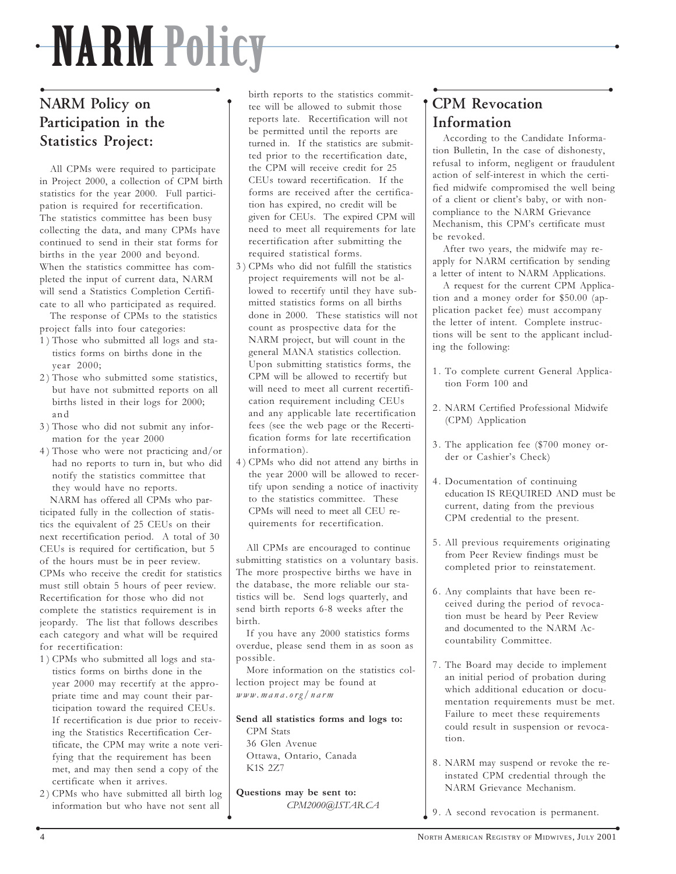## NARM Policy

 $\bullet$ 

## • • NARM Policy on Participation in the Statistics Project:

All CPMs were required to participate in Project 2000, a collection of CPM birth statistics for the year 2000. Full participation is required for recertification. The statistics committee has been busy collecting the data, and many CPMs have continued to send in their stat forms for births in the year 2000 and beyond. When the statistics committee has completed the input of current data, NARM will send a Statistics Completion Certificate to all who participated as required.

The response of CPMs to the statistics project falls into four categories:

- 1 ) Those who submitted all logs and statistics forms on births done in the year 2000;
- 2 ) Those who submitted some statistics, but have not submitted reports on all births listed in their logs for 2000; and
- 3 ) Those who did not submit any information for the year 2000
- 4 ) Those who were not practicing and/or had no reports to turn in, but who did notify the statistics committee that they would have no reports.

NARM has offered all CPMs who participated fully in the collection of statistics the equivalent of 25 CEUs on their next recertification period. A total of 30 CEUs is required for certification, but 5 of the hours must be in peer review. CPMs who receive the credit for statistics must still obtain 5 hours of peer review. Recertification for those who did not complete the statistics requirement is in jeopardy. The list that follows describes each category and what will be required for recertification:

- 1 ) CPMs who submitted all logs and statistics forms on births done in the year 2000 may recertify at the appropriate time and may count their participation toward the required CEUs. If recertification is due prior to receiving the Statistics Recertification Certificate, the CPM may write a note verifying that the requirement has been met, and may then send a copy of the certificate when it arrives.
- 2 ) CPMs who have submitted all birth log information but who have not sent all

birth reports to the statistics committee will be allowed to submit those reports late. Recertification will not be permitted until the reports are turned in. If the statistics are submitted prior to the recertification date, the CPM will receive credit for 25 CEUs toward recertification. If the forms are received after the certification has expired, no credit will be given for CEUs. The expired CPM will need to meet all requirements for late recertification after submitting the required statistical forms.

- 3 ) CPMs who did not fulfill the statistics project requirements will not be allowed to recertify until they have submitted statistics forms on all births done in 2000. These statistics will not count as prospective data for the NARM project, but will count in the general MANA statistics collection. Upon submitting statistics forms, the CPM will be allowed to recertify but will need to meet all current recertification requirement including CEUs and any applicable late recertification fees (see the web page or the Recertification forms for late recertification information).
- 4 ) CPMs who did not attend any births in the year 2000 will be allowed to recertify upon sending a notice of inactivity to the statistics committee. These CPMs will need to meet all CEU requirements for recertification.

All CPMs are encouraged to continue submitting statistics on a voluntary basis. The more prospective births we have in the database, the more reliable our statistics will be. Send logs quarterly, and send birth reports 6-8 weeks after the birth.

If you have any 2000 statistics forms overdue, please send them in as soon as possible.

More information on the statistics collection project may be found at www.mana.org/narm

Send all statistics forms and logs to: CPM Stats 36 Glen Avenue Ottawa, Ontario, Canada K1S 2Z7

Questions may be sent to: CPM2000@ISTAR.CA

 $\bullet$ 

#### • • CPM Revocation Information  $\bullet$

According to the Candidate Information Bulletin, In the case of dishonesty, refusal to inform, negligent or fraudulent action of self-interest in which the certified midwife compromised the well being of a client or client's baby, or with noncompliance to the NARM Grievance Mechanism, this CPM's certificate must be revoked.

After two years, the midwife may reapply for NARM certification by sending a letter of intent to NARM Applications.

A request for the current CPM Application and a money order for \$50.00 (application packet fee) must accompany the letter of intent. Complete instructions will be sent to the applicant including the following:

- 1. To complete current General Application Form 100 and
- 2. NARM Certified Professional Midwife (CPM) Application
- 3. The application fee (\$700 money order or Cashier's Check)
- 4. Documentation of continuing education IS REQUIRED AND must be current, dating from the previous CPM credential to the present.
- 5. All previous requirements originating from Peer Review findings must be completed prior to reinstatement.
- 6. Any complaints that have been received during the period of revocation must be heard by Peer Review and documented to the NARM Accountability Committee.
- 7. The Board may decide to implement an initial period of probation during which additional education or documentation requirements must be met. Failure to meet these requirements could result in suspension or revocation.
- 8. NARM may suspend or revoke the reinstated CPM credential through the NARM Grievance Mechanism.
- 9. A second revocation is permanent.  $\bullet$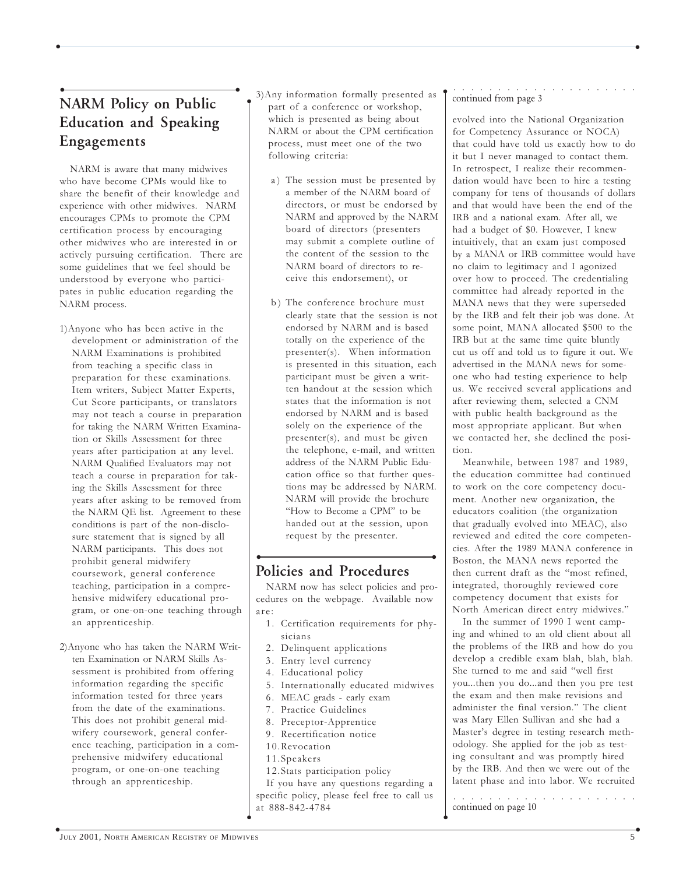## • • NARM Policy on Public Education and Speaking Engagements

NARM is aware that many midwives who have become CPMs would like to share the benefit of their knowledge and experience with other midwives. NARM encourages CPMs to promote the CPM certification process by encouraging other midwives who are interested in or actively pursuing certification. There are some guidelines that we feel should be understood by everyone who participates in public education regarding the NARM process.

- 1)Anyone who has been active in the development or administration of the NARM Examinations is prohibited from teaching a specific class in preparation for these examinations. Item writers, Subject Matter Experts, Cut Score participants, or translators may not teach a course in preparation for taking the NARM Written Examination or Skills Assessment for three years after participation at any level. NARM Qualified Evaluators may not teach a course in preparation for taking the Skills Assessment for three years after asking to be removed from the NARM QE list. Agreement to these conditions is part of the non-disclosure statement that is signed by all NARM participants. This does not prohibit general midwifery coursework, general conference teaching, participation in a comprehensive midwifery educational program, or one-on-one teaching through an apprenticeship.
- 2)Anyone who has taken the NARM Written Examination or NARM Skills Assessment is prohibited from offering information regarding the specific information tested for three years from the date of the examinations. This does not prohibit general midwifery coursework, general conference teaching, participation in a comprehensive midwifery educational program, or one-on-one teaching through an apprenticeship.

3)Any information formally presented as part of a conference or workshop, which is presented as being about NARM or about the CPM certification process, must meet one of the two following criteria:

 $\bullet$ 

 $\bullet$  . The contract of the contract of the contract of the contract of the contract of the contract of the contract of the contract of the contract of the contract of the contract of the contract of the contract of the co

- a) The session must be presented by a member of the NARM board of directors, or must be endorsed by NARM and approved by the NARM board of directors (presenters may submit a complete outline of the content of the session to the NARM board of directors to receive this endorsement), or
- b) The conference brochure must clearly state that the session is not endorsed by NARM and is based totally on the experience of the presenter(s). When information is presented in this situation, each participant must be given a written handout at the session which states that the information is not endorsed by NARM and is based solely on the experience of the presenter(s), and must be given the telephone, e-mail, and written address of the NARM Public Education office so that further questions may be addressed by NARM. NARM will provide the brochure "How to Become a CPM" to be handed out at the session, upon request by the presenter.

## • • Policies and Procedures

NARM now has select policies and procedures on the webpage. Available now are:

- 1. Certification requirements for physicians
- 2. Delinquent applications
- 3. Entry level currency
- 4. Educational policy
- 5. Internationally educated midwives
- 6. MEAC grads early exam
- 7. Practice Guidelines
- 8. Preceptor-Apprentice
- 9. Recertification notice
- 10.Revocation
- 11.Speakers

 $\bullet$ 

12.Stats participation policy

If you have any questions regarding a specific policy, please feel free to call us at 888-842-4784

#### ○○○○○○○○○○○○○○○○○○○○○ continued from page 3

 $\bullet$ 

evolved into the National Organization for Competency Assurance or NOCA) that could have told us exactly how to do it but I never managed to contact them. In retrospect, I realize their recommendation would have been to hire a testing company for tens of thousands of dollars and that would have been the end of the IRB and a national exam. After all, we had a budget of \$0. However, I knew intuitively, that an exam just composed by a MANA or IRB committee would have no claim to legitimacy and I agonized over how to proceed. The credentialing committee had already reported in the MANA news that they were superseded by the IRB and felt their job was done. At some point, MANA allocated \$500 to the IRB but at the same time quite bluntly cut us off and told us to figure it out. We advertised in the MANA news for someone who had testing experience to help us. We received several applications and after reviewing them, selected a CNM with public health background as the most appropriate applicant. But when we contacted her, she declined the position.

Meanwhile, between 1987 and 1989, the education committee had continued to work on the core competency document. Another new organization, the educators coalition (the organization that gradually evolved into MEAC), also reviewed and edited the core competencies. After the 1989 MANA conference in Boston, the MANA news reported the then current draft as the "most refined, integrated, thoroughly reviewed core competency document that exists for North American direct entry midwives."

In the summer of 1990 I went camping and whined to an old client about all the problems of the IRB and how do you develop a credible exam blah, blah, blah. She turned to me and said "well first you...then you do...and then you pre test the exam and then make revisions and administer the final version." The client was Mary Ellen Sullivan and she had a Master's degree in testing research methodology. She applied for the job as testing consultant and was promptly hired by the IRB. And then we were out of the latent phase and into labor. We recruited

○○○○○○○○○○○○○○○○○○○○○ continued on page 10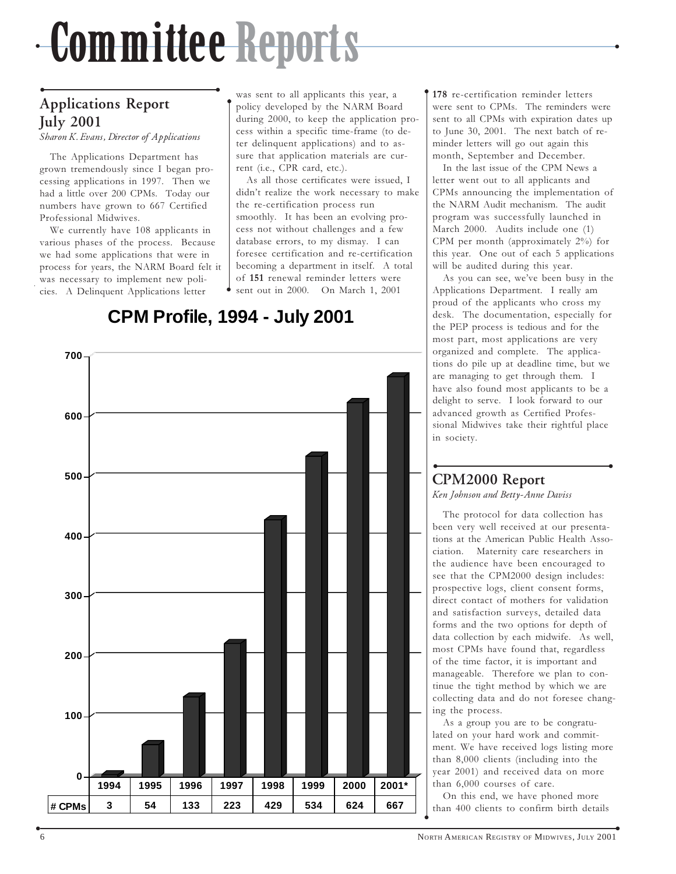## <u>╺╶╿╌╿╊╿╿╿╿╴╿╿╏╶╿╏╏╊┛╊┛┈╝╗┧╝╏┆╏┆╿╢┙┢┶╲┈┈┈┈┈┈┈┈┈┈┈┈┈┈┈┈┈┈</u>╌┄┄ Committee Reports

 $\bullet$ 

## • • Applications Report July 2001

Sharon K. Evans, Director of Applications

The Applications Department has grown tremendously since I began processing applications in 1997. Then we had a little over 200 CPMs. Today our numbers have grown to 667 Certified Professional Midwives.

We currently have 108 applicants in various phases of the process. Because we had some applications that were in process for years, the NARM Board felt it was necessary to implement new policies. A Delinquent Applications letter

was sent to all applicants this year, a policy developed by the NARM Board during 2000, to keep the application process within a specific time-frame (to deter delinquent applications) and to assure that application materials are current (i.e., CPR card, etc.).

As all those certificates were issued, I didn't realize the work necessary to make the re-certification process run smoothly. It has been an evolving process not without challenges and a few database errors, to my dismay. I can foresee certification and re-certification becoming a department in itself. A total of 151 renewal reminder letters were sent out in 2000. On March 1, 2001

**CPM Profile, 1994 - July 2001**

 $\bullet$ 

**# CPMs 3 54 133 223 429 534 624 667**

178 re-certification reminder letters were sent to CPMs. The reminders were sent to all CPMs with expiration dates up to June 30, 2001. The next batch of reminder letters will go out again this month, September and December.

 $\bullet$ 

In the last issue of the CPM News a letter went out to all applicants and CPMs announcing the implementation of the NARM Audit mechanism. The audit program was successfully launched in March 2000. Audits include one (1) CPM per month (approximately 2%) for this year. One out of each 5 applications will be audited during this year.

As you can see, we've been busy in the Applications Department. I really am proud of the applicants who cross my desk. The documentation, especially for the PEP process is tedious and for the most part, most applications are very organized and complete. The applications do pile up at deadline time, but we are managing to get through them. I have also found most applicants to be a delight to serve. I look forward to our advanced growth as Certified Professional Midwives take their rightful place in society.

## • • CPM2000 Report

Ken Johnson and Betty-Anne Daviss

The protocol for data collection has been very well received at our presentations at the American Public Health Association. Maternity care researchers in the audience have been encouraged to see that the CPM2000 design includes: prospective logs, client consent forms, direct contact of mothers for validation and satisfaction surveys, detailed data forms and the two options for depth of data collection by each midwife. As well, most CPMs have found that, regardless of the time factor, it is important and manageable. Therefore we plan to continue the tight method by which we are collecting data and do not foresee changing the process.

As a group you are to be congratulated on your hard work and commitment. We have received logs listing more than 8,000 clients (including into the year 2001) and received data on more than 6,000 courses of care.

On this end, we have phoned more than 400 clients to confirm birth details  $\bullet$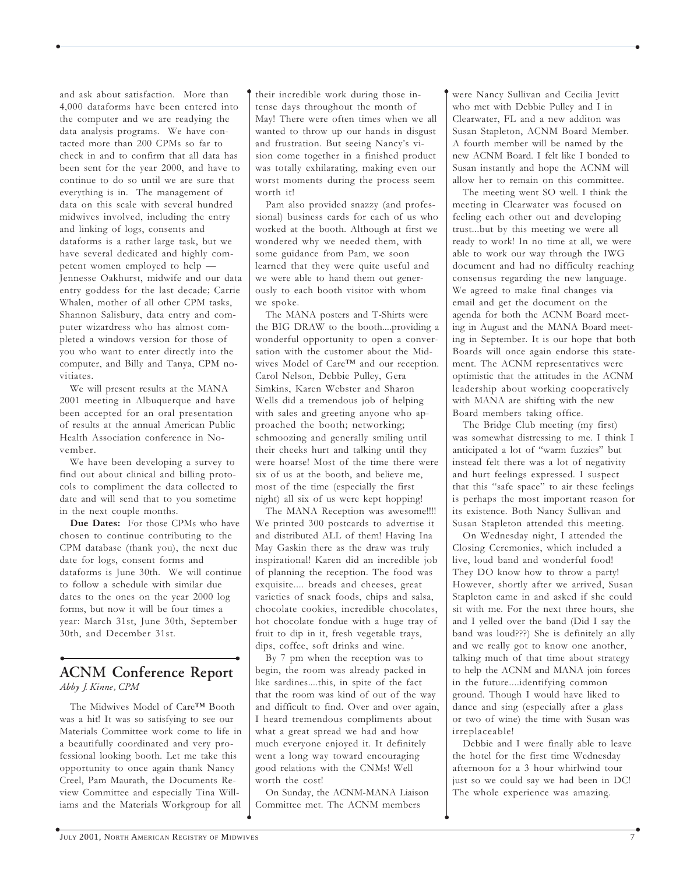and ask about satisfaction. More than 4,000 dataforms have been entered into the computer and we are readying the data analysis programs. We have contacted more than 200 CPMs so far to check in and to confirm that all data has been sent for the year 2000, and have to continue to do so until we are sure that everything is in. The management of data on this scale with several hundred midwives involved, including the entry and linking of logs, consents and dataforms is a rather large task, but we have several dedicated and highly competent women employed to help — Jennesse Oakhurst, midwife and our data entry goddess for the last decade; Carrie Whalen, mother of all other CPM tasks, Shannon Salisbury, data entry and computer wizardress who has almost completed a windows version for those of you who want to enter directly into the computer, and Billy and Tanya, CPM novitiates.

We will present results at the MANA 2001 meeting in Albuquerque and have been accepted for an oral presentation of results at the annual American Public Health Association conference in November.

We have been developing a survey to find out about clinical and billing protocols to compliment the data collected to date and will send that to you sometime in the next couple months.

Due Dates: For those CPMs who have chosen to continue contributing to the CPM database (thank you), the next due date for logs, consent forms and dataforms is June 30th. We will continue to follow a schedule with similar due dates to the ones on the year 2000 log forms, but now it will be four times a year: March 31st, June 30th, September 30th, and December 31st.

### • • ACNM Conference Report Abby J. Kinne, CPM

The Midwives Model of Care™ Booth was a hit! It was so satisfying to see our Materials Committee work come to life in a beautifully coordinated and very professional looking booth. Let me take this opportunity to once again thank Nancy Creel, Pam Maurath, the Documents Review Committee and especially Tina Williams and the Materials Workgroup for all

their incredible work during those intense days throughout the month of May! There were often times when we all wanted to throw up our hands in disgust and frustration. But seeing Nancy's vision come together in a finished product was totally exhilarating, making even our worst moments during the process seem worth it!

 $\bullet$ 

 $\bullet$  . The contract of the contract of the contract of the contract of the contract of the contract of the contract of the contract of the contract of the contract of the contract of the contract of the contract of the co

Pam also provided snazzy (and professional) business cards for each of us who worked at the booth. Although at first we wondered why we needed them, with some guidance from Pam, we soon learned that they were quite useful and we were able to hand them out generously to each booth visitor with whom we spoke.

The MANA posters and T-Shirts were the BIG DRAW to the booth....providing a wonderful opportunity to open a conversation with the customer about the Midwives Model of Care™ and our reception. Carol Nelson, Debbie Pulley, Gera Simkins, Karen Webster and Sharon Wells did a tremendous job of helping with sales and greeting anyone who approached the booth; networking; schmoozing and generally smiling until their cheeks hurt and talking until they were hoarse! Most of the time there were six of us at the booth, and believe me, most of the time (especially the first night) all six of us were kept hopping!

The MANA Reception was awesome!!!! We printed 300 postcards to advertise it and distributed ALL of them! Having Ina May Gaskin there as the draw was truly inspirational! Karen did an incredible job of planning the reception. The food was exquisite.... breads and cheeses, great varieties of snack foods, chips and salsa, chocolate cookies, incredible chocolates, hot chocolate fondue with a huge tray of fruit to dip in it, fresh vegetable trays, dips, coffee, soft drinks and wine.

By 7 pm when the reception was to begin, the room was already packed in like sardines....this, in spite of the fact that the room was kind of out of the way and difficult to find. Over and over again, I heard tremendous compliments about what a great spread we had and how much everyone enjoyed it. It definitely went a long way toward encouraging good relations with the CNMs! Well worth the cost!

On Sunday, the ACNM-MANA Liaison Committee met. The ACNM members

were Nancy Sullivan and Cecilia Jevitt who met with Debbie Pulley and I in Clearwater, FL and a new additon was Susan Stapleton, ACNM Board Member. A fourth member will be named by the new ACNM Board. I felt like I bonded to Susan instantly and hope the ACNM will allow her to remain on this committee.

 $\bullet$ 

The meeting went SO well. I think the meeting in Clearwater was focused on feeling each other out and developing trust...but by this meeting we were all ready to work! In no time at all, we were able to work our way through the IWG document and had no difficulty reaching consensus regarding the new language. We agreed to make final changes via email and get the document on the agenda for both the ACNM Board meeting in August and the MANA Board meeting in September. It is our hope that both Boards will once again endorse this statement. The ACNM representatives were optimistic that the attitudes in the ACNM leadership about working cooperatively with MANA are shifting with the new Board members taking office.

The Bridge Club meeting (my first) was somewhat distressing to me. I think I anticipated a lot of "warm fuzzies" but instead felt there was a lot of negativity and hurt feelings expressed. I suspect that this "safe space" to air these feelings is perhaps the most important reason for its existence. Both Nancy Sullivan and Susan Stapleton attended this meeting.

On Wednesday night, I attended the Closing Ceremonies, which included a live, loud band and wonderful food! They DO know how to throw a party! However, shortly after we arrived, Susan Stapleton came in and asked if she could sit with me. For the next three hours, she and I yelled over the band (Did I say the band was loud???) She is definitely an ally and we really got to know one another, talking much of that time about strategy to help the ACNM and MANA join forces in the future....identifying common ground. Though I would have liked to dance and sing (especially after a glass or two of wine) the time with Susan was irreplaceable!

Debbie and I were finally able to leave the hotel for the first time Wednesday afternoon for a 3 hour whirlwind tour just so we could say we had been in DC! The whole experience was amazing.

 $\bullet$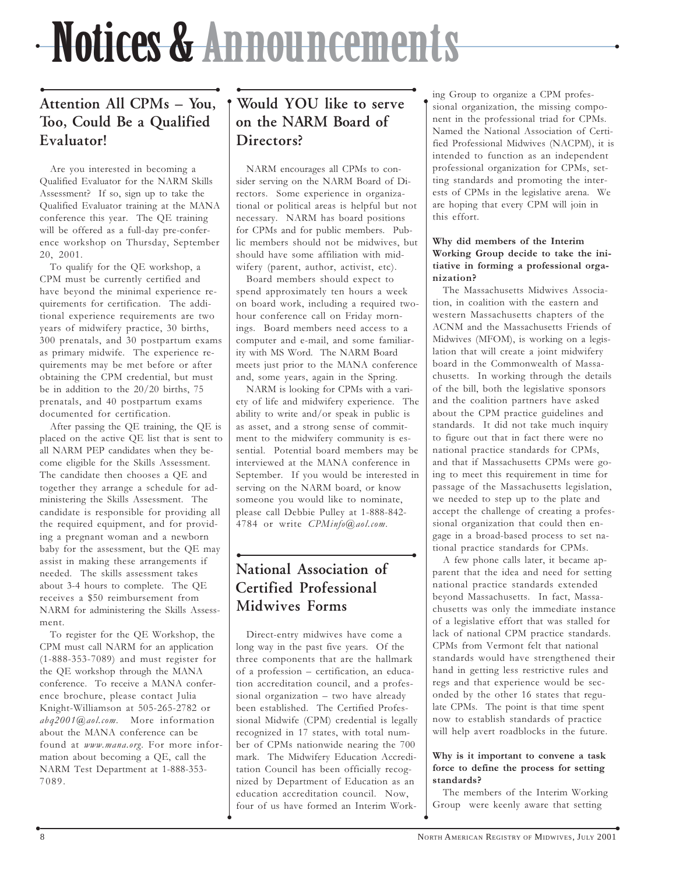## --WOLFFERY-AT-ATULIUM ENERGI IN STRUCTURE Notices & Announcements

 $\bullet$ 

## • • Attention All CPMs – You, Too, Could Be a Qualified Evaluator!

Are you interested in becoming a Qualified Evaluator for the NARM Skills Assessment? If so, sign up to take the Qualified Evaluator training at the MANA conference this year. The QE training will be offered as a full-day pre-conference workshop on Thursday, September 20, 2001.

To qualify for the QE workshop, a CPM must be currently certified and have beyond the minimal experience requirements for certification. The additional experience requirements are two years of midwifery practice, 30 births, 300 prenatals, and 30 postpartum exams as primary midwife. The experience requirements may be met before or after obtaining the CPM credential, but must be in addition to the 20/20 births, 75 prenatals, and 40 postpartum exams documented for certification.

After passing the QE training, the QE is placed on the active QE list that is sent to all NARM PEP candidates when they become eligible for the Skills Assessment. The candidate then chooses a QE and together they arrange a schedule for administering the Skills Assessment. The candidate is responsible for providing all the required equipment, and for providing a pregnant woman and a newborn baby for the assessment, but the QE may assist in making these arrangements if needed. The skills assessment takes about 3-4 hours to complete. The QE receives a \$50 reimbursement from NARM for administering the Skills Assessment.

To register for the QE Workshop, the CPM must call NARM for an application (1-888-353-7089) and must register for the QE workshop through the MANA conference. To receive a MANA conference brochure, please contact Julia Knight-Williamson at 505-265-2782 or abq2001@aol.com. More information about the MANA conference can be found at www.mana.org. For more information about becoming a QE, call the NARM Test Department at 1-888-353- 7089.

## • • Would YOU like to serve on the NARM Board of Directors?

 $\bullet$ 

NARM encourages all CPMs to consider serving on the NARM Board of Directors. Some experience in organizational or political areas is helpful but not necessary. NARM has board positions for CPMs and for public members. Public members should not be midwives, but should have some affiliation with midwifery (parent, author, activist, etc).

Board members should expect to spend approximately ten hours a week on board work, including a required twohour conference call on Friday mornings. Board members need access to a computer and e-mail, and some familiarity with MS Word. The NARM Board meets just prior to the MANA conference and, some years, again in the Spring.

NARM is looking for CPMs with a variety of life and midwifery experience. The ability to write and/or speak in public is as asset, and a strong sense of commitment to the midwifery community is essential. Potential board members may be interviewed at the MANA conference in September. If you would be interested in serving on the NARM board, or know someone you would like to nominate, please call Debbie Pulley at 1-888-842- 4784 or write CPMinfo@aol.com.

## • • National Association of Certified Professional Midwives Forms

Direct-entry midwives have come a long way in the past five years. Of the three components that are the hallmark of a profession – certification, an education accreditation council, and a professional organization – two have already been established. The Certified Professional Midwife (CPM) credential is legally recognized in 17 states, with total number of CPMs nationwide nearing the 700 mark. The Midwifery Education Accreditation Council has been officially recognized by Department of Education as an education accreditation council. Now, four of us have formed an Interim Work-

 $\bullet$ 

ing Group to organize a CPM professional organization, the missing component in the professional triad for CPMs. Named the National Association of Certified Professional Midwives (NACPM), it is intended to function as an independent professional organization for CPMs, setting standards and promoting the interests of CPMs in the legislative arena. We are hoping that every CPM will join in this effort.

#### Why did members of the Interim Working Group decide to take the initiative in forming a professional organization?

The Massachusetts Midwives Association, in coalition with the eastern and western Massachusetts chapters of the ACNM and the Massachusetts Friends of Midwives (MFOM), is working on a legislation that will create a joint midwifery board in the Commonwealth of Massachusetts. In working through the details of the bill, both the legislative sponsors and the coalition partners have asked about the CPM practice guidelines and standards. It did not take much inquiry to figure out that in fact there were no national practice standards for CPMs, and that if Massachusetts CPMs were going to meet this requirement in time for passage of the Massachusetts legislation, we needed to step up to the plate and accept the challenge of creating a professional organization that could then engage in a broad-based process to set national practice standards for CPMs.

A few phone calls later, it became apparent that the idea and need for setting national practice standards extended beyond Massachusetts. In fact, Massachusetts was only the immediate instance of a legislative effort that was stalled for lack of national CPM practice standards. CPMs from Vermont felt that national standards would have strengthened their hand in getting less restrictive rules and regs and that experience would be seconded by the other 16 states that regulate CPMs. The point is that time spent now to establish standards of practice will help avert roadblocks in the future.

#### Why is it important to convene a task force to define the process for setting standards?

The members of the Interim Working Group were keenly aware that setting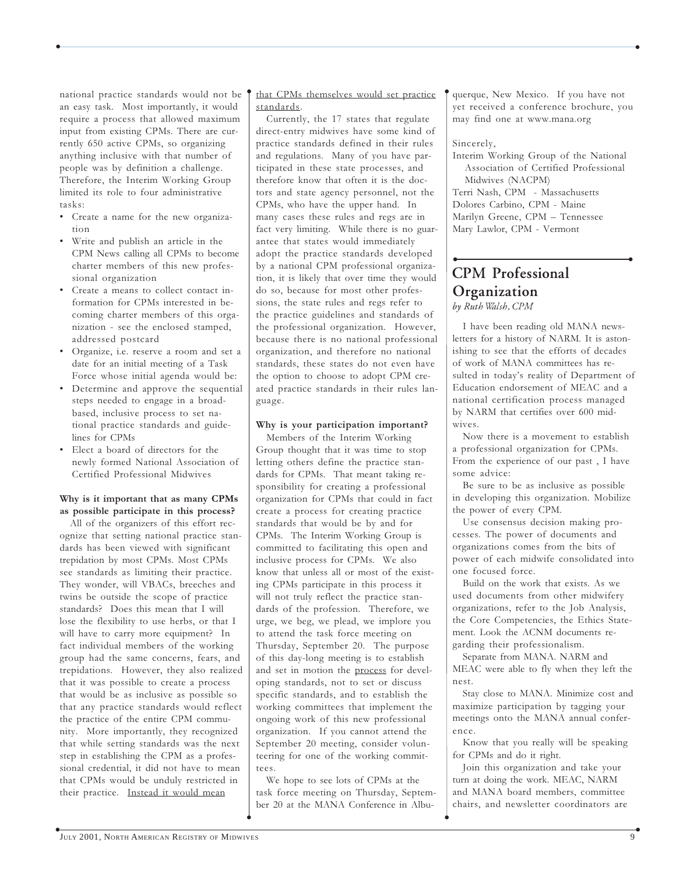national practice standards would not be an easy task. Most importantly, it would require a process that allowed maximum input from existing CPMs. There are currently 650 active CPMs, so organizing anything inclusive with that number of people was by definition a challenge. Therefore, the Interim Working Group limited its role to four administrative tasks:

- Create a name for the new organization
- Write and publish an article in the CPM News calling all CPMs to become charter members of this new professional organization
- Create a means to collect contact information for CPMs interested in becoming charter members of this organization - see the enclosed stamped, addressed postcard
- Organize, i.e. reserve a room and set a date for an initial meeting of a Task Force whose initial agenda would be:
- Determine and approve the sequential steps needed to engage in a broadbased, inclusive process to set national practice standards and guidelines for CPMs
- Elect a board of directors for the newly formed National Association of Certified Professional Midwives

#### Why is it important that as many CPMs as possible participate in this process?

All of the organizers of this effort recognize that setting national practice standards has been viewed with significant trepidation by most CPMs. Most CPMs see standards as limiting their practice. They wonder, will VBACs, breeches and twins be outside the scope of practice standards? Does this mean that I will lose the flexibility to use herbs, or that I will have to carry more equipment? In fact individual members of the working group had the same concerns, fears, and trepidations. However, they also realized that it was possible to create a process that would be as inclusive as possible so that any practice standards would reflect the practice of the entire CPM community. More importantly, they recognized that while setting standards was the next step in establishing the CPM as a professional credential, it did not have to mean that CPMs would be unduly restricted in their practice. Instead it would mean

#### that CPMs themselves would set practice standards.

 $\bullet$ 

 $\bullet$  . The contract of the contract of the contract of the contract of the contract of the contract of the contract of the contract of the contract of the contract of the contract of the contract of the contract of the co

Currently, the 17 states that regulate direct-entry midwives have some kind of practice standards defined in their rules and regulations. Many of you have participated in these state processes, and therefore know that often it is the doctors and state agency personnel, not the CPMs, who have the upper hand. In many cases these rules and regs are in fact very limiting. While there is no guarantee that states would immediately adopt the practice standards developed by a national CPM professional organization, it is likely that over time they would do so, because for most other professions, the state rules and regs refer to the practice guidelines and standards of the professional organization. However, because there is no national professional organization, and therefore no national standards, these states do not even have the option to choose to adopt CPM created practice standards in their rules language.

#### Why is your participation important?

Members of the Interim Working Group thought that it was time to stop letting others define the practice standards for CPMs. That meant taking responsibility for creating a professional organization for CPMs that could in fact create a process for creating practice standards that would be by and for CPMs. The Interim Working Group is committed to facilitating this open and inclusive process for CPMs. We also know that unless all or most of the existing CPMs participate in this process it will not truly reflect the practice standards of the profession. Therefore, we urge, we beg, we plead, we implore you to attend the task force meeting on Thursday, September 20. The purpose of this day-long meeting is to establish and set in motion the process for developing standards, not to set or discuss specific standards, and to establish the working committees that implement the ongoing work of this new professional organization. If you cannot attend the September 20 meeting, consider volunteering for one of the working committees.

We hope to see lots of CPMs at the task force meeting on Thursday, September 20 at the MANA Conference in Albuquerque, New Mexico. If you have not yet received a conference brochure, you may find one at www.mana.org

#### Sincerely,

 $\bullet$ 

Interim Working Group of the National Association of Certified Professional Midwives (NACPM)

Terri Nash, CPM - Massachusetts Dolores Carbino, CPM - Maine Marilyn Greene, CPM – Tennessee Mary Lawlor, CPM - Vermont

### • • CPM Professional **Organization** by Ruth Walsh, CPM

I have been reading old MANA newsletters for a history of NARM. It is astonishing to see that the efforts of decades of work of MANA committees has resulted in today's reality of Department of Education endorsement of MEAC and a national certification process managed by NARM that certifies over 600 midwives.

Now there is a movement to establish a professional organization for CPMs. From the experience of our past , I have some advice:

Be sure to be as inclusive as possible in developing this organization. Mobilize the power of every CPM.

Use consensus decision making processes. The power of documents and organizations comes from the bits of power of each midwife consolidated into one focused force.

Build on the work that exists. As we used documents from other midwifery organizations, refer to the Job Analysis, the Core Competencies, the Ethics Statement. Look the ACNM documents regarding their professionalism.

Separate from MANA. NARM and MEAC were able to fly when they left the nest.

Stay close to MANA. Minimize cost and maximize participation by tagging your meetings onto the MANA annual conference.

Know that you really will be speaking for CPMs and do it right.

Join this organization and take your turn at doing the work. MEAC, NARM and MANA board members, committee chairs, and newsletter coordinators are

 $\bullet$ 

 $\bullet$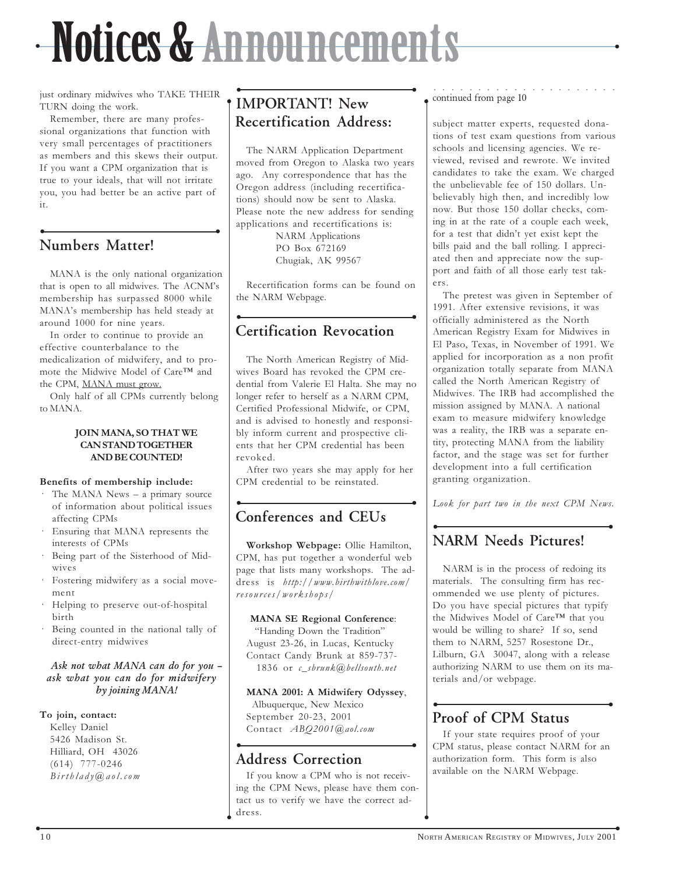## --WOLFFERY-AT-ATULIUM ENERGI IN STRUCTURE Notices & Announcements

 $\bullet$ 

just ordinary midwives who TAKE THEIR TURN doing the work.

Remember, there are many professional organizations that function with very small percentages of practitioners as members and this skews their output. If you want a CPM organization that is true to your ideals, that will not irritate you, you had better be an active part of it.

## • • Numbers Matter!

MANA is the only national organization that is open to all midwives. The ACNM's membership has surpassed 8000 while MANA's membership has held steady at around 1000 for nine years.

In order to continue to provide an effective counterbalance to the medicalization of midwifery, and to promote the Midwive Model of Care™ and the CPM, MANA must grow.

Only half of all CPMs currently belong to MANA.

#### JOIN MANA, SO THAT WE CAN STAND TOGETHER AND BE COUNTED!

#### Benefits of membership include:

- · The MANA News a primary source of information about political issues affecting CPMs
- · Ensuring that MANA represents the interests of CPMs
- Being part of the Sisterhood of Midwives
- Fostering midwifery as a social movement
- Helping to preserve out-of-hospital birth
- Being counted in the national tally of direct-entry midwives

### Ask not what MANA can do for you – ask what you can do for midwifery by joining MANA!

### To join, contact:

Kelley Daniel 5426 Madison St. Hilliard, OH 43026 (614) 777-0246 Birthlady@aol.com

## • • IMPORTANT! New Recertification Address:

The NARM Application Department moved from Oregon to Alaska two years ago. Any correspondence that has the Oregon address (including recertifications) should now be sent to Alaska. Please note the new address for sending applications and recertifications is:

NARM Applications PO Box 672169 Chugiak, AK 99567

Recertification forms can be found on the NARM Webpage.

## • • Certification Revocation

The North American Registry of Midwives Board has revoked the CPM credential from Valerie El Halta. She may no longer refer to herself as a NARM CPM, Certified Professional Midwife, or CPM, and is advised to honestly and responsibly inform current and prospective clients that her CPM credential has been revoked.

After two years she may apply for her CPM credential to be reinstated.

## • • Conferences and CEUs

Workshop Webpage: Ollie Hamilton, CPM, has put together a wonderful web page that lists many workshops. The address is http://www.birthwithlove.com/ resources/workshops/

### MANA SE Regional Conference:

 "Handing Down the Tradition" August 23-26, in Lucas, Kentucky Contact Candy Brunk at 859-737- 1836 or c\_sbrunk@bellsouth.net

### MANA 2001: A Midwifery Odyssey,

 Albuquerque, New Mexico September 20-23, 2001 Contact ABQ2001@aol.com

## • • Address Correction

 $\bullet$ 

If you know a CPM who is not receiving the CPM News, please have them contact us to verify we have the correct address.

#### ○○○○○○○○○○ ○○○○○○○○○○○ continued from page 10

 $\bullet$ 

subject matter experts, requested donations of test exam questions from various schools and licensing agencies. We reviewed, revised and rewrote. We invited candidates to take the exam. We charged the unbelievable fee of 150 dollars. Unbelievably high then, and incredibly low now. But those 150 dollar checks, coming in at the rate of a couple each week, for a test that didn't yet exist kept the bills paid and the ball rolling. I appreciated then and appreciate now the support and faith of all those early test takers.

The pretest was given in September of 1991. After extensive revisions, it was officially administered as the North American Registry Exam for Midwives in El Paso, Texas, in November of 1991. We applied for incorporation as a non profit organization totally separate from MANA called the North American Registry of Midwives. The IRB had accomplished the mission assigned by MANA. A national exam to measure midwifery knowledge was a reality, the IRB was a separate entity, protecting MANA from the liability factor, and the stage was set for further development into a full certification granting organization.

Look for part two in the next CPM News.

## • • NARM Needs Pictures!

NARM is in the process of redoing its materials. The consulting firm has recommended we use plenty of pictures. Do you have special pictures that typify the Midwives Model of Care™ that you would be willing to share? If so, send them to NARM, 5257 Rosestone Dr., Lilburn, GA 30047, along with a release authorizing NARM to use them on its materials and/or webpage.

## • • Proof of CPM Status

If your state requires proof of your CPM status, please contact NARM for an authorization form. This form is also available on the NARM Webpage.

 $\bullet$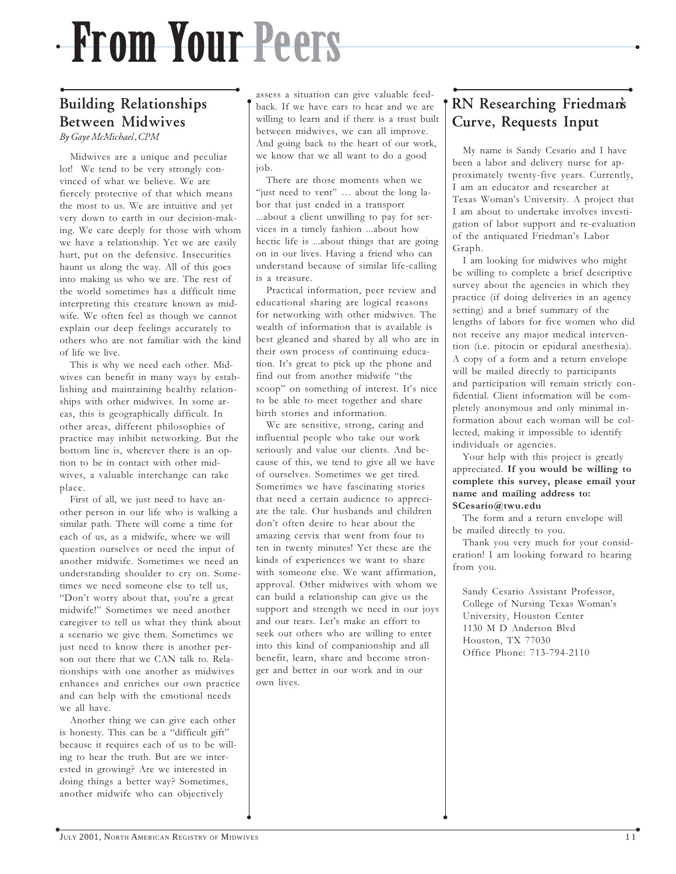## From Your Peers

 $\bullet$ 

### • • Building Relationships Between Midwives By Gaye McMichael, CPM

Midwives are a unique and peculiar lot! We tend to be very strongly convinced of what we believe. We are fiercely protective of that which means the most to us. We are intuitive and yet very down to earth in our decision-making. We care deeply for those with whom we have a relationship. Yet we are easily hurt, put on the defensive. Insecurities haunt us along the way. All of this goes into making us who we are. The rest of the world sometimes has a difficult time interpreting this creature known as midwife. We often feel as though we cannot explain our deep feelings accurately to others who are not familiar with the kind of life we live.

This is why we need each other. Midwives can benefit in many ways by establishing and maintaining healthy relationships with other midwives. In some areas, this is geographically difficult. In other areas, different philosophies of practice may inhibit networking. But the bottom line is, wherever there is an option to be in contact with other midwives, a valuable interchange can take place.

First of all, we just need to have another person in our life who is walking a similar path. There will come a time for each of us, as a midwife, where we will question ourselves or need the input of another midwife. Sometimes we need an understanding shoulder to cry on. Sometimes we need someone else to tell us, "Don't worry about that, you're a great midwife!" Sometimes we need another caregiver to tell us what they think about a scenario we give them. Sometimes we just need to know there is another person out there that we CAN talk to. Relationships with one another as midwives enhances and enriches our own practice and can help with the emotional needs we all have.

Another thing we can give each other is honesty. This can be a "difficult gift" because it requires each of us to be willing to hear the truth. But are we interested in growing? Are we interested in doing things a better way? Sometimes, another midwife who can objectively

assess a situation can give valuable feedback. If we have ears to hear and we are willing to learn and if there is a trust built between midwives, we can all improve. And going back to the heart of our work, we know that we all want to do a good job.

There are those moments when we "just need to vent" … about the long labor that just ended in a transport ...about a client unwilling to pay for services in a timely fashion ...about how hectic life is ...about things that are going on in our lives. Having a friend who can understand because of similar life-calling is a treasure.

Practical information, peer review and educational sharing are logical reasons for networking with other midwives. The wealth of information that is available is best gleaned and shared by all who are in their own process of continuing education. It's great to pick up the phone and find out from another midwife "the scoop" on something of interest. It's nice to be able to meet together and share birth stories and information.

We are sensitive, strong, caring and influential people who take our work seriously and value our clients. And because of this, we tend to give all we have of ourselves. Sometimes we get tired. Sometimes we have fascinating stories that need a certain audience to appreciate the tale. Our husbands and children don't often desire to hear about the amazing cervix that went from four to ten in twenty minutes! Yet these are the kinds of experiences we want to share with someone else. We want affirmation, approval. Other midwives with whom we can build a relationship can give us the support and strength we need in our joys and our tears. Let's make an effort to seek out others who are willing to enter into this kind of companionship and all benefit, learn, share and become stronger and better in our work and in our own lives.

## • • RN Researching Friedman's Curve, Requests Input

 $\bullet$ 

My name is Sandy Cesario and I have been a labor and delivery nurse for approximately twenty-five years. Currently, I am an educator and researcher at Texas Woman's University. A project that I am about to undertake involves investigation of labor support and re-evaluation of the antiquated Friedman's Labor Graph.

I am looking for midwives who might be willing to complete a brief descriptive survey about the agencies in which they practice (if doing deliveries in an agency setting) and a brief summary of the lengths of labors for five women who did not receive any major medical intervention (i.e. pitocin or epidural anesthesia). A copy of a form and a return envelope will be mailed directly to participants and participation will remain strictly confidential. Client information will be completely anonymous and only minimal information about each woman will be collected, making it impossible to identify individuals or agencies.

Your help with this project is greatly appreciated. If you would be willing to complete this survey, please email your name and mailing address to: SCesario@twu.edu

The form and a return envelope will be mailed directly to you.

Thank you very much for your consideration! I am looking forward to hearing from you.

Sandy Cesario Assistant Professor, College of Nursing Texas Woman's University, Houston Center 1130 M D Anderson Blvd Houston, TX 77030 Office Phone: 713-794-2110

 $\cdot$